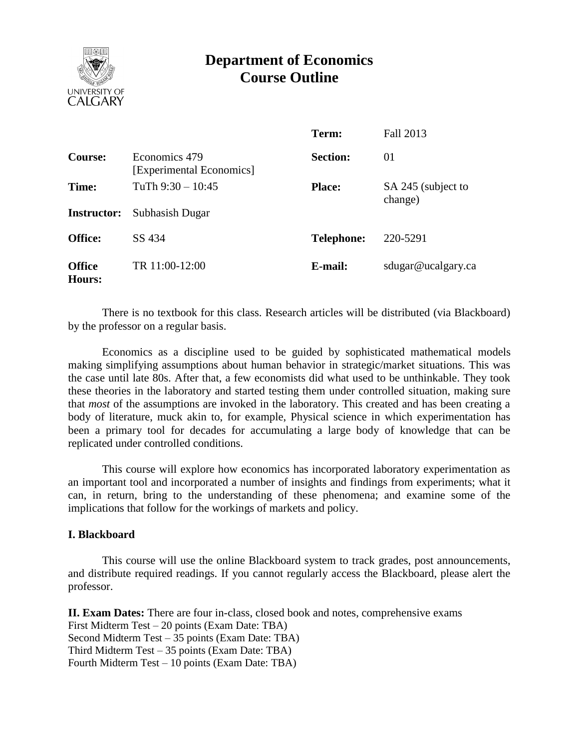

# **Department of Economics Course Outline**

|                         |                                           | Term:             | Fall 2013                     |
|-------------------------|-------------------------------------------|-------------------|-------------------------------|
| Course:                 | Economics 479<br>[Experimental Economics] | <b>Section:</b>   | 01                            |
| Time:                   | TuTh $9:30 - 10:45$                       | <b>Place:</b>     | SA 245 (subject to<br>change) |
| <b>Instructor:</b>      | Subhasish Dugar                           |                   |                               |
| <b>Office:</b>          | SS 434                                    | <b>Telephone:</b> | 220-5291                      |
| <b>Office</b><br>Hours: | TR 11:00-12:00                            | E-mail:           | sdugar@ucalgary.ca            |

There is no textbook for this class. Research articles will be distributed (via Blackboard) by the professor on a regular basis.

Economics as a discipline used to be guided by sophisticated mathematical models making simplifying assumptions about human behavior in strategic/market situations. This was the case until late 80s. After that, a few economists did what used to be unthinkable. They took these theories in the laboratory and started testing them under controlled situation, making sure that *most* of the assumptions are invoked in the laboratory. This created and has been creating a body of literature, muck akin to, for example, Physical science in which experimentation has been a primary tool for decades for accumulating a large body of knowledge that can be replicated under controlled conditions.

This course will explore how economics has incorporated laboratory experimentation as an important tool and incorporated a number of insights and findings from experiments; what it can, in return, bring to the understanding of these phenomena; and examine some of the implications that follow for the workings of markets and policy.

#### **I. Blackboard**

This course will use the online Blackboard system to track grades, post announcements, and distribute required readings. If you cannot regularly access the Blackboard, please alert the professor.

**II. Exam Dates:** There are four in-class, closed book and notes, comprehensive exams First Midterm Test – 20 points (Exam Date: TBA) Second Midterm Test – 35 points (Exam Date: TBA) Third Midterm Test – 35 points (Exam Date: TBA) Fourth Midterm Test – 10 points (Exam Date: TBA)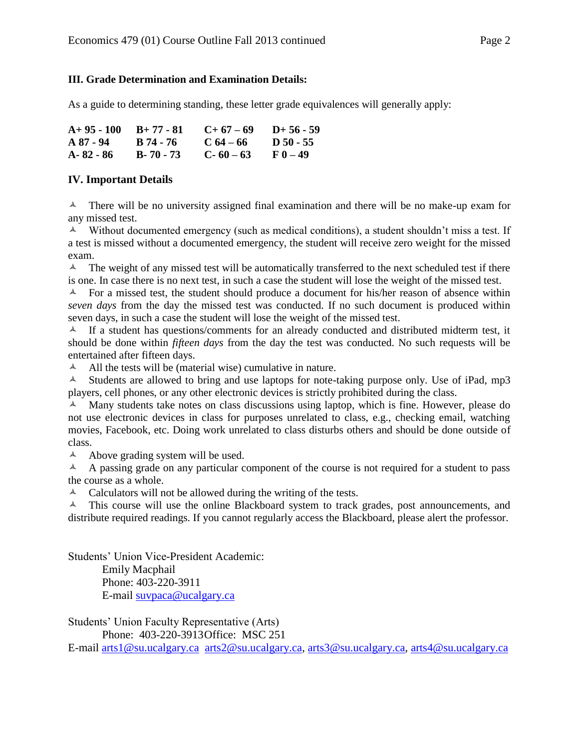### **III. Grade Determination and Examination Details:**

As a guide to determining standing, these letter grade equivalences will generally apply:

| $A+95-100$ $B+77-81$ |               | $C+67-69$     | $D+56-59$ |
|----------------------|---------------|---------------|-----------|
| A 87 - 94            | B 74 - 76     | $C_64 - 66$   | D 50 - 55 |
| A-82 - 86            | $B - 70 - 73$ | $C - 60 - 63$ | $F(0-49)$ |

## **IV. Important Details**

 $\lambda$  There will be no university assigned final examination and there will be no make-up exam for any missed test.

 $\triangle$  Without documented emergency (such as medical conditions), a student shouldn't miss a test. If a test is missed without a documented emergency, the student will receive zero weight for the missed exam.

 $\lambda$  The weight of any missed test will be automatically transferred to the next scheduled test if there is one. In case there is no next test, in such a case the student will lose the weight of the missed test.

 $\uparrow$  For a missed test, the student should produce a document for his/her reason of absence within *seven days* from the day the missed test was conducted. If no such document is produced within seven days, in such a case the student will lose the weight of the missed test.

 $\uparrow$  If a student has questions/comments for an already conducted and distributed midterm test, it should be done within *fifteen days* from the day the test was conducted. No such requests will be entertained after fifteen days.

 $\triangle$  All the tests will be (material wise) cumulative in nature.

 $\triangle$  Students are allowed to bring and use laptops for note-taking purpose only. Use of iPad, mp3 players, cell phones, or any other electronic devices is strictly prohibited during the class.

A Many students take notes on class discussions using laptop, which is fine. However, please do not use electronic devices in class for purposes unrelated to class, e.g., checking email, watching movies, Facebook, etc. Doing work unrelated to class disturbs others and should be done outside of class.

 $\triangle$  Above grading system will be used.

 $\blacktriangle$  A passing grade on any particular component of the course is not required for a student to pass the course as a whole.

 $\triangle$  Calculators will not be allowed during the writing of the tests.

 $\blacktriangle$  This course will use the online Blackboard system to track grades, post announcements, and distribute required readings. If you cannot regularly access the Blackboard, please alert the professor.

Students' Union Vice-President Academic:

Emily Macphail Phone: 403-220-3911 E-mail [suvpaca@ucalgary.ca](mailto:subpaca@ucalgary.ca)

Students' Union Faculty Representative (Arts) Phone: 403-220-3913Office: MSC 251

E-mail [arts1@su.ucalgary.ca](mailto:arts1@su.ucalgary.ca) [arts2@su.ucalgary.ca,](mailto:arts2@su.ucalgary.ca) [arts3@su.ucalgary.ca,](mailto:arts3@su.ucalgary.ca) [arts4@su.ucalgary.ca](mailto:arts4@su.ucalgary.ca)